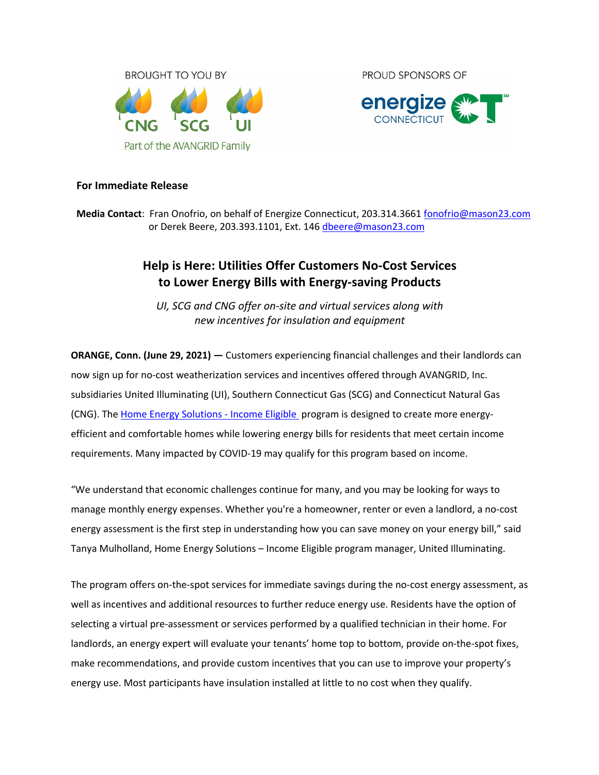

**PROUD SPONSORS OF** 



## **For Immediate Release**

**Media Contact**: Fran Onofrio, on behalf of Energize Connecticut, 203.314.3661 fonofrio@mason23.com or Derek Beere, 203.393.1101, Ext. 146 dbeere@mason23.com

# **Help is Here: Utilities Offer Customers No-Cost Services to Lower Energy Bills with Energy-saving Products**

*UI, SCG and CNG offer on-site and virtual services along with new incentives for insulation and equipment*

**ORANGE, Conn. (June 29, 2021) —** Customers experiencing financial challenges and their landlords can now sign up for no-cost weatherization services and incentives offered through AVANGRID, Inc. subsidiaries United Illuminating (UI), Southern Connecticut Gas (SCG) and Connecticut Natural Gas (CNG). The Home Energy Solutions - Income Eligible program is designed to create more energyefficient and comfortable homes while lowering energy bills for residents that meet certain income requirements. Many impacted by COVID-19 may qualify for this program based on income.

"We understand that economic challenges continue for many, and you may be looking for ways to manage monthly energy expenses. Whether you're a homeowner, renter or even a landlord, a no-cost energy assessment is the first step in understanding how you can save money on your energy bill," said Tanya Mulholland, Home Energy Solutions – Income Eligible program manager, United Illuminating.

The program offers on-the-spot services for immediate savings during the no-cost energy assessment, as well as incentives and additional resources to further reduce energy use. Residents have the option of selecting a virtual pre-assessment or services performed by a qualified technician in their home. For landlords, an energy expert will evaluate your tenants' home top to bottom, provide on-the-spot fixes, make recommendations, and provide custom incentives that you can use to improve your property's energy use. Most participants have insulation installed at little to no cost when they qualify.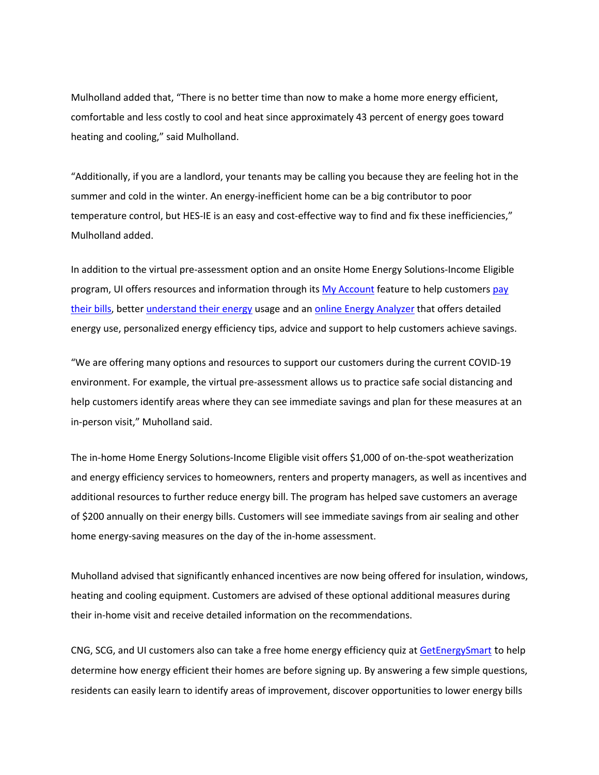Mulholland added that, "There is no better time than now to make a home more energy efficient, comfortable and less costly to cool and heat since approximately 43 percent of energy goes toward heating and cooling," said Mulholland.

"Additionally, if you are a landlord, your tenants may be calling you because they are feeling hot in the summer and cold in the winter. An energy-inefficient home can be a big contributor to poor temperature control, but HES-IE is an easy and cost-effective way to find and fix these inefficiencies," Mulholland added.

In addition to the virtual pre-assessment option and an onsite Home Energy Solutions-Income Eligible program, UI offers resources and information through its My Account feature to help customers pay their bills, better understand their energy usage and an online Energy Analyzer that offers detailed energy use, personalized energy efficiency tips, advice and support to help customers achieve savings.

"We are offering many options and resources to support our customers during the current COVID-19 environment. For example, the virtual pre-assessment allows us to practice safe social distancing and help customers identify areas where they can see immediate savings and plan for these measures at an in-person visit," Muholland said.

The in-home Home Energy Solutions-Income Eligible visit offers \$1,000 of on-the-spot weatherization and energy efficiency services to homeowners, renters and property managers, as well as incentives and additional resources to further reduce energy bill. The program has helped save customers an average of \$200 annually on their energy bills. Customers will see immediate savings from air sealing and other home energy-saving measures on the day of the in-home assessment.

Muholland advised that significantly enhanced incentives are now being offered for insulation, windows, heating and cooling equipment. Customers are advised of these optional additional measures during their in-home visit and receive detailed information on the recommendations.

CNG, SCG, and UI customers also can take a free home energy efficiency quiz at GetEnergySmart to help determine how energy efficient their homes are before signing up. By answering a few simple questions, residents can easily learn to identify areas of improvement, discover opportunities to lower energy bills